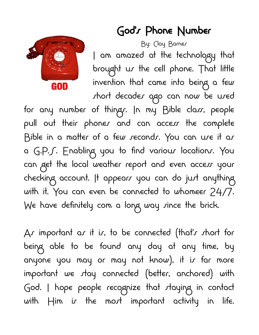

## God's Phone Number

By: Clay Barnes I am amazed at the technology that brought us the cell phone. That little invention that came into being a few short decades ago can now be used

for any number of thingr. In my Bible class, people pull out their phones and can access the complete Bible in a matter of a few seconds. You can use it as a G.P.S. Enabling you to find various locations. You can get the local weather report and even access your checking account. It appears you can do just anything with it. You can even be connected to whomeer 24/7. We have definitely com a long way since the brick.

As important as it is, to be connected (that's short for being able to be found any day at any time, by anyone you may or may not know), it is far more important we stay connected (better, anchored) with God. I hope people recognize that staying in contact with  $\#$ im is the most important activity in life.